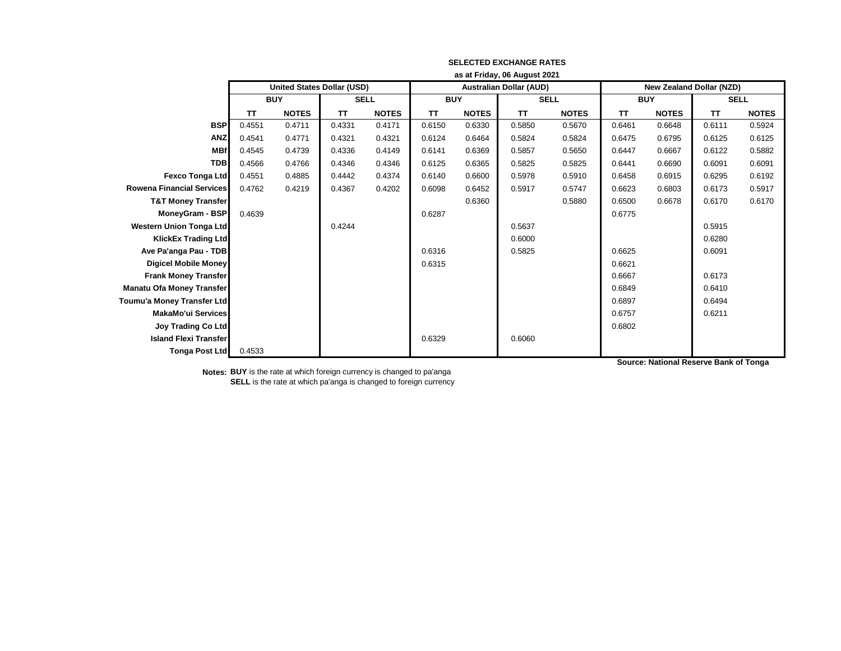|                                  | as at Friday, 06 August 2021      |              |             |              |            |              |                                |              |                                 |              |             |              |
|----------------------------------|-----------------------------------|--------------|-------------|--------------|------------|--------------|--------------------------------|--------------|---------------------------------|--------------|-------------|--------------|
|                                  | <b>United States Dollar (USD)</b> |              |             |              |            |              | <b>Australian Dollar (AUD)</b> |              | <b>New Zealand Dollar (NZD)</b> |              |             |              |
|                                  | <b>BUY</b>                        |              | <b>SELL</b> |              | <b>BUY</b> |              | <b>SELL</b>                    |              | <b>BUY</b>                      |              | <b>SELL</b> |              |
|                                  | <b>TT</b>                         | <b>NOTES</b> | TΤ          | <b>NOTES</b> | TT         | <b>NOTES</b> | <b>TT</b>                      | <b>NOTES</b> | <b>TT</b>                       | <b>NOTES</b> | TT          | <b>NOTES</b> |
| <b>BSP</b>                       | 0.4551                            | 0.4711       | 0.4331      | 0.4171       | 0.6150     | 0.6330       | 0.5850                         | 0.5670       | 0.6461                          | 0.6648       | 0.6111      | 0.5924       |
| <b>ANZ</b>                       | 0.4541                            | 0.4771       | 0.4321      | 0.4321       | 0.6124     | 0.6464       | 0.5824                         | 0.5824       | 0.6475                          | 0.6795       | 0.6125      | 0.6125       |
| <b>MBf</b>                       | 0.4545                            | 0.4739       | 0.4336      | 0.4149       | 0.6141     | 0.6369       | 0.5857                         | 0.5650       | 0.6447                          | 0.6667       | 0.6122      | 0.5882       |
| <b>TDB</b>                       | 0.4566                            | 0.4766       | 0.4346      | 0.4346       | 0.6125     | 0.6365       | 0.5825                         | 0.5825       | 0.6441                          | 0.6690       | 0.6091      | 0.6091       |
| <b>Fexco Tonga Ltd</b>           | 0.4551                            | 0.4885       | 0.4442      | 0.4374       | 0.6140     | 0.6600       | 0.5978                         | 0.5910       | 0.6458                          | 0.6915       | 0.6295      | 0.6192       |
| Rowena Financial Services        | 0.4762                            | 0.4219       | 0.4367      | 0.4202       | 0.6098     | 0.6452       | 0.5917                         | 0.5747       | 0.6623                          | 0.6803       | 0.6173      | 0.5917       |
| <b>T&amp;T Money Transfer</b>    |                                   |              |             |              |            | 0.6360       |                                | 0.5880       | 0.6500                          | 0.6678       | 0.6170      | 0.6170       |
| <b>MoneyGram - BSP</b>           | 0.4639                            |              |             |              | 0.6287     |              |                                |              | 0.6775                          |              |             |              |
| <b>Western Union Tonga Ltd</b>   |                                   |              | 0.4244      |              |            |              | 0.5637                         |              |                                 |              | 0.5915      |              |
| <b>KlickEx Trading Ltd</b>       |                                   |              |             |              |            |              | 0.6000                         |              |                                 |              | 0.6280      |              |
| Ave Pa'anga Pau - TDB            |                                   |              |             |              | 0.6316     |              | 0.5825                         |              | 0.6625                          |              | 0.6091      |              |
| <b>Digicel Mobile Money</b>      |                                   |              |             |              | 0.6315     |              |                                |              | 0.6621                          |              |             |              |
| <b>Frank Money Transfer</b>      |                                   |              |             |              |            |              |                                |              | 0.6667                          |              | 0.6173      |              |
| <b>Manatu Ofa Money Transfer</b> |                                   |              |             |              |            |              |                                |              | 0.6849                          |              | 0.6410      |              |
| Toumu'a Money Transfer Ltd       |                                   |              |             |              |            |              |                                |              | 0.6897                          |              | 0.6494      |              |
| <b>MakaMo'ui Services</b>        |                                   |              |             |              |            |              |                                |              | 0.6757                          |              | 0.6211      |              |
| <b>Joy Trading Co Ltd</b>        |                                   |              |             |              |            |              |                                |              | 0.6802                          |              |             |              |
| <b>Island Flexi Transfer</b>     |                                   |              |             |              | 0.6329     |              | 0.6060                         |              |                                 |              |             |              |
| <b>Tonga Post Ltd</b>            | 0.4533                            |              |             |              |            |              |                                |              |                                 |              |             |              |

**Notes: BUY** is the rate at which foreign currency is changed to pa'anga **SELL** is the rate at which pa'anga is changed to foreign currency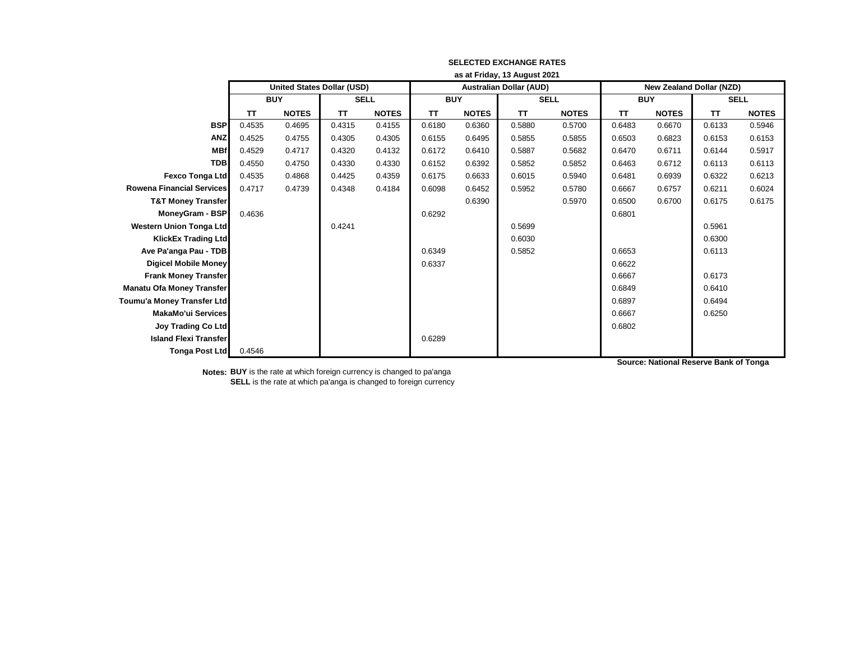|                                  | as at Friday, 13 August 2021 |                                   |             |              |            |              |                                |              |                                 |              |             |              |
|----------------------------------|------------------------------|-----------------------------------|-------------|--------------|------------|--------------|--------------------------------|--------------|---------------------------------|--------------|-------------|--------------|
|                                  |                              | <b>United States Dollar (USD)</b> |             |              |            |              | <b>Australian Dollar (AUD)</b> |              | <b>New Zealand Dollar (NZD)</b> |              |             |              |
|                                  | <b>BUY</b>                   |                                   | <b>SELL</b> |              | <b>BUY</b> |              | <b>SELL</b>                    |              | <b>BUY</b>                      |              | <b>SELL</b> |              |
|                                  | <b>TT</b>                    | <b>NOTES</b>                      | TΤ          | <b>NOTES</b> | TT         | <b>NOTES</b> | <b>TT</b>                      | <b>NOTES</b> | <b>TT</b>                       | <b>NOTES</b> | TT          | <b>NOTES</b> |
| <b>BSP</b>                       | 0.4535                       | 0.4695                            | 0.4315      | 0.4155       | 0.6180     | 0.6360       | 0.5880                         | 0.5700       | 0.6483                          | 0.6670       | 0.6133      | 0.5946       |
| <b>ANZ</b>                       | 0.4525                       | 0.4755                            | 0.4305      | 0.4305       | 0.6155     | 0.6495       | 0.5855                         | 0.5855       | 0.6503                          | 0.6823       | 0.6153      | 0.6153       |
| <b>MBf</b>                       | 0.4529                       | 0.4717                            | 0.4320      | 0.4132       | 0.6172     | 0.6410       | 0.5887                         | 0.5682       | 0.6470                          | 0.6711       | 0.6144      | 0.5917       |
| <b>TDB</b>                       | 0.4550                       | 0.4750                            | 0.4330      | 0.4330       | 0.6152     | 0.6392       | 0.5852                         | 0.5852       | 0.6463                          | 0.6712       | 0.6113      | 0.6113       |
| <b>Fexco Tonga Ltd</b>           | 0.4535                       | 0.4868                            | 0.4425      | 0.4359       | 0.6175     | 0.6633       | 0.6015                         | 0.5940       | 0.6481                          | 0.6939       | 0.6322      | 0.6213       |
| Rowena Financial Services        | 0.4717                       | 0.4739                            | 0.4348      | 0.4184       | 0.6098     | 0.6452       | 0.5952                         | 0.5780       | 0.6667                          | 0.6757       | 0.6211      | 0.6024       |
| <b>T&amp;T Money Transfer</b>    |                              |                                   |             |              |            | 0.6390       |                                | 0.5970       | 0.6500                          | 0.6700       | 0.6175      | 0.6175       |
| <b>MoneyGram - BSP</b>           | 0.4636                       |                                   |             |              | 0.6292     |              |                                |              | 0.6801                          |              |             |              |
| <b>Western Union Tonga Ltd</b>   |                              |                                   | 0.4241      |              |            |              | 0.5699                         |              |                                 |              | 0.5961      |              |
| <b>KlickEx Trading Ltd</b>       |                              |                                   |             |              |            |              | 0.6030                         |              |                                 |              | 0.6300      |              |
| Ave Pa'anga Pau - TDB            |                              |                                   |             |              | 0.6349     |              | 0.5852                         |              | 0.6653                          |              | 0.6113      |              |
| <b>Digicel Mobile Money</b>      |                              |                                   |             |              | 0.6337     |              |                                |              | 0.6622                          |              |             |              |
| <b>Frank Money Transfer</b>      |                              |                                   |             |              |            |              |                                |              | 0.6667                          |              | 0.6173      |              |
| <b>Manatu Ofa Money Transfer</b> |                              |                                   |             |              |            |              |                                |              | 0.6849                          |              | 0.6410      |              |
| Toumu'a Money Transfer Ltd       |                              |                                   |             |              |            |              |                                |              | 0.6897                          |              | 0.6494      |              |
| <b>MakaMo'ui Services</b>        |                              |                                   |             |              |            |              |                                |              | 0.6667                          |              | 0.6250      |              |
| <b>Joy Trading Co Ltd</b>        |                              |                                   |             |              |            |              |                                |              | 0.6802                          |              |             |              |
| <b>Island Flexi Transfer</b>     |                              |                                   |             |              | 0.6289     |              |                                |              |                                 |              |             |              |
| <b>Tonga Post Ltd</b>            | 0.4546                       |                                   |             |              |            |              |                                |              |                                 |              |             |              |

**Notes: BUY** is the rate at which foreign currency is changed to pa'anga **SELL** is the rate at which pa'anga is changed to foreign currency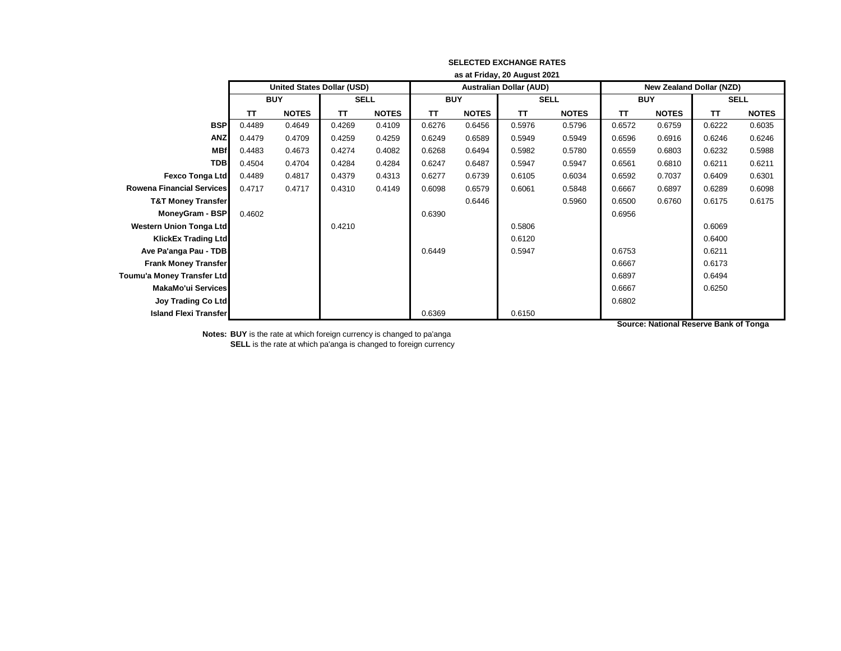|                                  | as at Friday, 20 August 2021 |                                   |             |              |            |              |                                |              |                                 |              |           |              |
|----------------------------------|------------------------------|-----------------------------------|-------------|--------------|------------|--------------|--------------------------------|--------------|---------------------------------|--------------|-----------|--------------|
|                                  |                              | <b>United States Dollar (USD)</b> |             |              |            |              | <b>Australian Dollar (AUD)</b> |              | <b>New Zealand Dollar (NZD)</b> |              |           |              |
|                                  | <b>BUY</b>                   |                                   | <b>SELL</b> |              | <b>BUY</b> |              | <b>SELL</b>                    |              | <b>BUY</b>                      |              | SELL      |              |
|                                  | TТ                           | <b>NOTES</b>                      | <b>TT</b>   | <b>NOTES</b> | <b>TT</b>  | <b>NOTES</b> | TT                             | <b>NOTES</b> | <b>TT</b>                       | <b>NOTES</b> | <b>TT</b> | <b>NOTES</b> |
| <b>BSP</b>                       | 0.4489                       | 0.4649                            | 0.4269      | 0.4109       | 0.6276     | 0.6456       | 0.5976                         | 0.5796       | 0.6572                          | 0.6759       | 0.6222    | 0.6035       |
| <b>ANZ</b>                       | 0.4479                       | 0.4709                            | 0.4259      | 0.4259       | 0.6249     | 0.6589       | 0.5949                         | 0.5949       | 0.6596                          | 0.6916       | 0.6246    | 0.6246       |
| <b>MBf</b>                       | 0.4483                       | 0.4673                            | 0.4274      | 0.4082       | 0.6268     | 0.6494       | 0.5982                         | 0.5780       | 0.6559                          | 0.6803       | 0.6232    | 0.5988       |
| <b>TDB</b>                       | 0.4504                       | 0.4704                            | 0.4284      | 0.4284       | 0.6247     | 0.6487       | 0.5947                         | 0.5947       | 0.6561                          | 0.6810       | 0.6211    | 0.6211       |
| <b>Fexco Tonga Ltd</b>           | 0.4489                       | 0.4817                            | 0.4379      | 0.4313       | 0.6277     | 0.6739       | 0.6105                         | 0.6034       | 0.6592                          | 0.7037       | 0.6409    | 0.6301       |
| <b>Rowena Financial Services</b> | 0.4717                       | 0.4717                            | 0.4310      | 0.4149       | 0.6098     | 0.6579       | 0.6061                         | 0.5848       | 0.6667                          | 0.6897       | 0.6289    | 0.6098       |
| <b>T&amp;T Money Transfer</b>    |                              |                                   |             |              |            | 0.6446       |                                | 0.5960       | 0.6500                          | 0.6760       | 0.6175    | 0.6175       |
| MoneyGram - BSP                  | 0.4602                       |                                   |             |              | 0.6390     |              |                                |              | 0.6956                          |              |           |              |
| Western Union Tonga Ltd          |                              |                                   | 0.4210      |              |            |              | 0.5806                         |              |                                 |              | 0.6069    |              |
| <b>KlickEx Trading Ltd</b>       |                              |                                   |             |              |            |              | 0.6120                         |              |                                 |              | 0.6400    |              |
| Ave Pa'anga Pau - TDB            |                              |                                   |             |              | 0.6449     |              | 0.5947                         |              | 0.6753                          |              | 0.6211    |              |
| <b>Frank Money Transfer</b>      |                              |                                   |             |              |            |              |                                |              | 0.6667                          |              | 0.6173    |              |
| Toumu'a Money Transfer Ltd       |                              |                                   |             |              |            |              |                                |              | 0.6897                          |              | 0.6494    |              |
| <b>MakaMo'ui Services</b>        |                              |                                   |             |              |            |              |                                |              | 0.6667                          |              | 0.6250    |              |
| <b>Joy Trading Co Ltd</b>        |                              |                                   |             |              |            |              |                                |              | 0.6802                          |              |           |              |
| <b>Island Flexi Transfer</b>     |                              |                                   |             |              | 0.6369     |              | 0.6150                         |              |                                 |              |           |              |

**Notes: BUY** is the rate at which foreign currency is changed to pa'anga

**SELL** is the rate at which pa'anga is changed to foreign currency